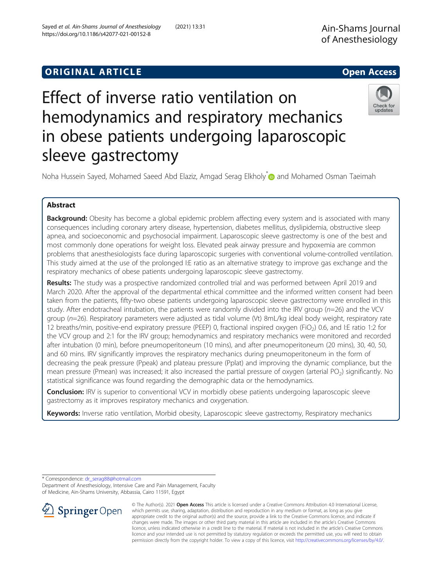# **ORIGINAL ARTICLE** And the open Access of the Open Access of the Open Access of the Open Access of the Open Access

# Effect of inverse ratio ventilation on hemodynamics and respiratory mechanics in obese patients undergoing laparoscopic sleeve gastrectomy



Noha Hussein Sayed, Mohamed Saeed Abd Elaziz, Amgad Serag Elkholy<sup>[\\*](http://orcid.org/0000-0001-7603-5654)</sup> and Mohamed Osman Taeimah

# Abstract

Background: Obesity has become a global epidemic problem affecting every system and is associated with many consequences including coronary artery disease, hypertension, diabetes mellitus, dyslipidemia, obstructive sleep apnea, and socioeconomic and psychosocial impairment. Laparoscopic sleeve gastrectomy is one of the best and most commonly done operations for weight loss. Elevated peak airway pressure and hypoxemia are common problems that anesthesiologists face during laparoscopic surgeries with conventional volume-controlled ventilation. This study aimed at the use of the prolonged I:E ratio as an alternative strategy to improve gas exchange and the respiratory mechanics of obese patients undergoing laparoscopic sleeve gastrectomy.

Results: The study was a prospective randomized controlled trial and was performed between April 2019 and March 2020. After the approval of the departmental ethical committee and the informed written consent had been taken from the patients, fifty-two obese patients undergoing laparoscopic sleeve gastrectomy were enrolled in this study. After endotracheal intubation, the patients were randomly divided into the IRV group ( $n=26$ ) and the VCV group (n=26). Respiratory parameters were adjusted as tidal volume (Vt) 8mL/kg ideal body weight, respiratory rate 12 breaths/min, positive-end expiratory pressure (PEEP) 0, fractional inspired oxygen (FiO<sub>2</sub>) 0.6, and I:E ratio 1:2 for the VCV group and 2:1 for the IRV group; hemodynamics and respiratory mechanics were monitored and recorded after intubation (0 min), before pneumoperitoneum (10 mins), and after pneumoperitoneum (20 mins), 30, 40, 50, and 60 mins. IRV significantly improves the respiratory mechanics during pneumoperitoneum in the form of decreasing the peak pressure (Ppeak) and plateau pressure (Pplat) and improving the dynamic compliance, but the mean pressure (Pmean) was increased; it also increased the partial pressure of oxygen (arterial PO<sub>2</sub>) significantly. No statistical significance was found regarding the demographic data or the hemodynamics.

**Conclusion:** IRV is superior to conventional VCV in morbidly obese patients undergoing laparoscopic sleeve gastrectomy as it improves respiratory mechanics and oxygenation.

Keywords: Inverse ratio ventilation, Morbid obesity, Laparoscopic sleeve gastrectomy, Respiratory mechanics

\* Correspondence: [dr\\_serag88@hotmail.com](mailto:dr_serag88@hotmail.com)

Department of Anesthesiology, Intensive Care and Pain Management, Faculty of Medicine, Ain-Shams University, Abbassia, Cairo 11591, Egypt



© The Author(s). 2021 Open Access This article is licensed under a Creative Commons Attribution 4.0 International License, which permits use, sharing, adaptation, distribution and reproduction in any medium or format, as long as you give appropriate credit to the original author(s) and the source, provide a link to the Creative Commons licence, and indicate if changes were made. The images or other third party material in this article are included in the article's Creative Commons licence, unless indicated otherwise in a credit line to the material. If material is not included in the article's Creative Commons licence and your intended use is not permitted by statutory regulation or exceeds the permitted use, you will need to obtain permission directly from the copyright holder. To view a copy of this licence, visit <http://creativecommons.org/licenses/by/4.0/>.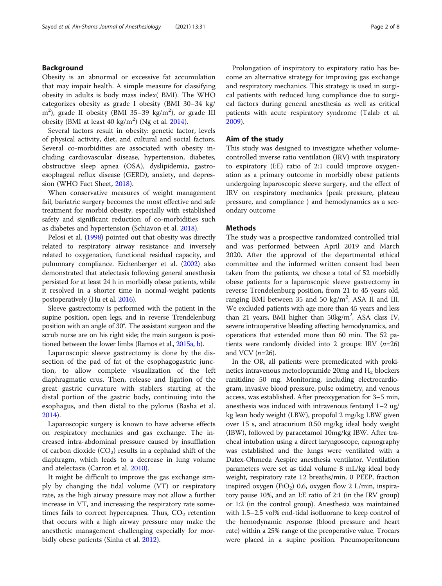# Background

Obesity is an abnormal or excessive fat accumulation that may impair health. A simple measure for classifying obesity in adults is body mass index( BMI). The WHO categorizes obesity as grade I obesity (BMI 30–34 kg/ m<sup>2</sup>), grade II obesity (BMI 35–39 kg/m<sup>2</sup>), or grade III obesity (BMI at least  $40 \text{ kg/m}^2$ ) (Ng et al. [2014\)](#page-7-0).

Several factors result in obesity: genetic factor, levels of physical activity, diet, and cultural and social factors. Several co-morbidities are associated with obesity including cardiovascular disease, hypertension, diabetes, obstructive sleep apnea (OSA), dyslipidemia, gastroesophageal reflux disease (GERD), anxiety, and depression (WHO Fact Sheet, [2018\)](#page-7-0).

When conservative measures of weight management fail, bariatric surgery becomes the most effective and safe treatment for morbid obesity, especially with established safety and significant reduction of co-morbidities such as diabetes and hypertension (Schiavon et al. [2018\)](#page-7-0).

Pelosi et al. [\(1998](#page-7-0)) pointed out that obesity was directly related to respiratory airway resistance and inversely related to oxygenation, functional residual capacity, and pulmonary compliance. Eichenberger et al. [\(2002](#page-7-0)) also demonstrated that atelectasis following general anesthesia persisted for at least 24 h in morbidly obese patients, while it resolved in a shorter time in normal-weight patients postoperatively (Hu et al. [2016\)](#page-7-0).

Sleeve gastrectomy is performed with the patient in the supine position, open legs, and in reverse Trendelenburg position with an angle of 30°. The assistant surgeon and the scrub nurse are on his right side; the main surgeon is positioned between the lower limbs (Ramos et al., [2015a,](#page-7-0) [b](#page-7-0)).

Laparoscopic sleeve gastrectomy is done by the dissection of the pad of fat of the esophagogastric junction, to allow complete visualization of the left diaphragmatic crus. Then, release and ligation of the great gastric curvature with stablers starting at the distal portion of the gastric body, continuing into the esophagus, and then distal to the pylorus (Basha et al. [2014\)](#page-7-0).

Laparoscopic surgery is known to have adverse effects on respiratory mechanics and gas exchange. The increased intra-abdominal pressure caused by insufflation of carbon dioxide  $(CO<sub>2</sub>)$  results in a cephalad shift of the diaphragm, which leads to a decrease in lung volume and atelectasis (Carron et al. [2010\)](#page-7-0).

It might be difficult to improve the gas exchange simply by changing the tidal volume (VT) or respiratory rate, as the high airway pressure may not allow a further increase in VT, and increasing the respiratory rate sometimes fails to correct hypercapnea. Thus,  $CO<sub>2</sub>$  retention that occurs with a high airway pressure may make the anesthetic management challenging especially for morbidly obese patients (Sinha et al. [2012](#page-7-0)).

Prolongation of inspiratory to expiratory ratio has become an alternative strategy for improving gas exchange and respiratory mechanics. This strategy is used in surgical patients with reduced lung compliance due to surgical factors during general anesthesia as well as critical patients with acute respiratory syndrome (Talab et al. [2009](#page-7-0)).

## Aim of the study

This study was designed to investigate whether volumecontrolled inverse ratio ventilation (IRV) with inspiratory to expiratory (I:E) ratio of 2:1 could improve oxygenation as a primary outcome in morbidly obese patients undergoing laparoscopic sleeve surgery, and the effect of IRV on respiratory mechanics (peak pressure, plateau pressure, and compliance ) and hemodynamics as a secondary outcome

# Methods

The study was a prospective randomized controlled trial and was performed between April 2019 and March 2020. After the approval of the departmental ethical committee and the informed written consent had been taken from the patients, we chose a total of 52 morbidly obese patients for a laparoscopic sleeve gastrectomy in reverse Trendelenburg position, from 21 to 45 years old, ranging BMI between 35 and 50 kg/m<sup>2</sup>, ASA II and III. We excluded patients with age more than 45 years and less than 21 years, BMI higher than  $50\text{kg/m}^2$ , ASA class IV, severe intraoperative bleeding affecting hemodynamics, and operations that extended more than 60 min. The 52 patients were randomly divided into 2 groups: IRV  $(n=26)$ and VCV  $(n=26)$ .

In the OR, all patients were premedicated with prokinetics intravenous metoclopramide 20mg and  $H_2$  blockers ranitidine 50 mg. Monitoring, including electrocardiogram, invasive blood pressure, pulse oximetry, and venous access, was established. After preoxygenation for 3–5 min, anesthesia was induced with intravenous fentanyl 1–2 ug/ kg lean body weight (LBW), propofol 2 mg/kg LBW given over 15 s, and atracurium 0.50 mg/kg ideal body weight (IBW), followed by paracetamol 10mg/kg IBW. After tracheal intubation using a direct laryngoscope, capnography was established and the lungs were ventilated with a Datex-Ohmeda Aespire anesthesia ventilator. Ventilation parameters were set as tidal volume 8 mL/kg ideal body weight, respiratory rate 12 breaths/min, 0 PEEP, fraction inspired oxygen (FiO<sub>2</sub>) 0.6, oxygen flow 2 L/min, inspiratory pause 10%, and an I:E ratio of 2:1 (in the IRV group) or 1:2 (in the control group). Anesthesia was maintained with 1.5–2.5 vol% end-tidal isofluorane to keep control of the hemodynamic response (blood pressure and heart rate) within a 25% range of the preoperative value. Trocars were placed in a supine position. Pneumoperitoneum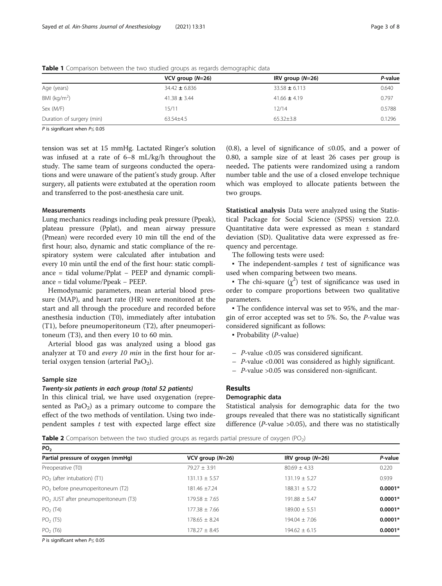|                           | $VCV$ group $(N=26)$ | IRV group $(N=26)$ | P-value |
|---------------------------|----------------------|--------------------|---------|
| Age (years)               | $34.42 \pm 6.836$    | $33.58 \pm 6.113$  | 0.640   |
| BMI ( $kg/m2$ )           | $41.38 \pm 3.44$     | $41.66 \pm 4.19$   | 0.797   |
| Sex (M/F)                 | 15/11                | 12/14              | 0.5788  |
| Duration of surgery (min) | 63.54±4.5            | $65.32 \pm 3.8$    | 0.1296  |
|                           |                      |                    |         |

<span id="page-2-0"></span>Table 1 Comparison between the two studied groups as regards demographic data

P is significant when  $P \le 0.05$ 

tension was set at 15 mmHg. Lactated Ringer's solution was infused at a rate of 6–8 mL/kg/h throughout the study. The same team of surgeons conducted the operations and were unaware of the patient's study group. After surgery, all patients were extubated at the operation room and transferred to the post-anesthesia care unit.

## Measurements

Lung mechanics readings including peak pressure (Ppeak), plateau pressure (Pplat), and mean airway pressure (Pmean) were recorded every 10 min till the end of the first hour; also, dynamic and static compliance of the respiratory system were calculated after intubation and every 10 min until the end of the first hour: static compliance = tidal volume/Pplat − PEEP and dynamic compliance = tidal volume/Ppeak − PEEP.

Hemodynamic parameters, mean arterial blood pressure (MAP), and heart rate (HR) were monitored at the start and all through the procedure and recorded before anesthesia induction (T0), immediately after intubation (T1), before pneumoperitoneum (T2), after pneumoperitoneum (T3), and then every 10 to 60 min.

Arterial blood gas was analyzed using a blood gas analyzer at T0 and every 10 min in the first hour for arterial oxygen tension (arterial  $PaO<sub>2</sub>$ ).

# Sample size

In this clinical trial, we have used oxygenation (represented as  $PaO<sub>2</sub>$ ) as a primary outcome to compare the effect of the two methods of ventilation. Using two independent samples  $t$  test with expected large effect size

(0.8), a level of significance of  $\leq 0.05$ , and a power of 0.80, a sample size of at least 26 cases per group is needed. The patients were randomized using a random number table and the use of a closed envelope technique which was employed to allocate patients between the two groups.

Statistical analysis Data were analyzed using the Statistical Package for Social Science (SPSS) version 22.0. Quantitative data were expressed as mean ± standard deviation (SD). Qualitative data were expressed as frequency and percentage.

The following tests were used:

 $\blacksquare$  The independent-samples t test of significance was used when comparing between two means.

• The chi-square  $(\chi^2)$  test of significance was used in order to compare proportions between two qualitative parameters.

▪ The confidence interval was set to 95%, and the margin of error accepted was set to 5%. So, the P-value was considered significant as follows:

 $\blacksquare$  Probability (*P*-value)

- P-value <0.05 was considered significant.
- $-$  P-value <0.001 was considered as highly significant.
- P-value >0.05 was considered non-significant.

# Results

# Demographic data

Statistical analysis for demographic data for the two groups revealed that there was no statistically significant difference ( $P$ -value >0.05), and there was no statistically

**Table 2** Comparison between the two studied groups as regards partial pressure of oxygen (PO<sub>2</sub>)

| PO <sub>2</sub>                                  |                    |                    |           |  |
|--------------------------------------------------|--------------------|--------------------|-----------|--|
| Partial pressure of oxygen (mmHg)                | VCV group $(N=26)$ | IRV group $(N=26)$ | P-value   |  |
| Preoperative (T0)                                | $79.27 + 3.91$     | $80.69 + 4.33$     | 0.220     |  |
| $PO2$ (after intubation) (T1)                    | $131.13 \pm 5.57$  | $131.19 + 5.27$    | 0.939     |  |
| $PO2$ before pneumoperitoneum (T2)               | $181.46 + 7.24$    | $188.31 \pm 5.72$  | $0.0001*$ |  |
| PO <sub>2</sub> JUST after pneumoperitoneum (T3) | $179.58 + 7.65$    | $191.88 + 5.47$    | $0.0001*$ |  |
| PO <sub>2</sub> (T4)                             | $177.38 + 7.66$    | $189.00 + 5.51$    | $0.0001*$ |  |
| PO <sub>2</sub> (T5)                             | $178.65 + 8.24$    | $194.04 \pm 7.06$  | $0.0001*$ |  |
| $PO2$ (T6)                                       | $178.27 \pm 8.45$  | $194.62 \pm 6.15$  | $0.0001*$ |  |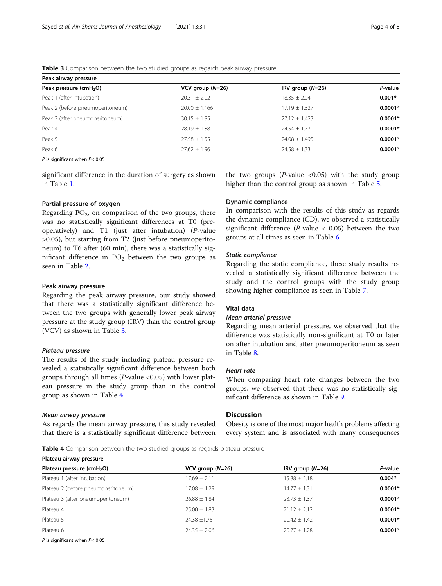| Table 3 Comparison between the two studied groups as regards peak airway pressure |  |  |  |  |
|-----------------------------------------------------------------------------------|--|--|--|--|
|                                                                                   |  |  |  |  |

| Peak airway pressure             |                    |                    |                       |  |
|----------------------------------|--------------------|--------------------|-----------------------|--|
| Peak pressure $(cmH2O)$          | VCV group $(N=26)$ | IRV group $(N=26)$ | P-value               |  |
| Peak 1 (after intubation)        | $20.31 \pm 2.02$   | $18.35 \pm 2.04$   | $0.001*$              |  |
| Peak 2 (before pneumoperitoneum) | $20.00 \pm 1.166$  | $17.19 \pm 1.327$  | $0.0001$ <sup>*</sup> |  |
| Peak 3 (after pneumoperitoneum)  | $30.15 \pm 1.85$   | $27.12 \pm 1.423$  | $0.0001$ <sup>*</sup> |  |
| Peak 4                           | $28.19 \pm 1.88$   | $24.54 \pm 1.77$   | $0.0001$ <sup>*</sup> |  |
| Peak 5                           | $27.58 \pm 1.55$   | $24.08 \pm 1.495$  | $0.0001$ <sup>*</sup> |  |
| Peak 6                           | $27.62 \pm 1.96$   | $24.58 \pm 1.33$   | $0.0001$ <sup>*</sup> |  |

 $\overline{P}$  is significant when  $P≤ 0.05$ 

significant difference in the duration of surgery as shown in Table [1](#page-2-0).

# Partial pressure of oxygen

Regarding  $PO<sub>2</sub>$ , on comparison of the two groups, there was no statistically significant differences at T0 (preoperatively) and T1 (just after intubation) (P-value >0.05), but starting from T2 (just before pneumoperitoneum) to T6 after (60 min), there was a statistically significant difference in  $PO_2$  between the two groups as seen in Table [2](#page-2-0).

# Peak airway pressure

Regarding the peak airway pressure, our study showed that there was a statistically significant difference between the two groups with generally lower peak airway pressure at the study group (IRV) than the control group (VCV) as shown in Table 3.

The results of the study including plateau pressure revealed a statistically significant difference between both groups through all times ( $P$ -value <0.05) with lower plateau pressure in the study group than in the control group as shown in Table 4.

Mean airway pressure As regards the mean airway pressure, this study revealed that there is a statistically significant difference between

the two groups ( $P$ -value <0.05) with the study group higher than the control group as shown in Table [5](#page-4-0).

# Dynamic compliance

In comparison with the results of this study as regards the dynamic compliance (CD), we observed a statistically significant difference (*P*-value  $\langle$  0.05) between the two groups at all times as seen in Table [6](#page-4-0).

Regarding the static compliance, these study results revealed a statistically significant difference between the study and the control groups with the study group showing higher compliance as seen in Table [7.](#page-5-0)

# Vital data

Regarding mean arterial pressure, we observed that the difference was statistically non-significant at T0 or later on after intubation and after pneumoperitoneum as seen in Table [8.](#page-5-0)

# **Heart rate**

When comparing heart rate changes between the two groups, we observed that there was no statistically significant difference as shown in Table [9.](#page-6-0)

# **Discussion**

Obesity is one of the most major health problems affecting every system and is associated with many consequences

Table 4 Comparison between the two studied groups as regards plateau pressure

| Plateau airway pressure               |                    |                    |           |  |
|---------------------------------------|--------------------|--------------------|-----------|--|
| Plateau pressure (cmH <sub>2</sub> O) | VCV group $(N=26)$ | IRV group $(N=26)$ | P-value   |  |
| Plateau 1 (after intubation)          | $17.69 + 2.11$     | $15.88 \pm 2.18$   | $0.004*$  |  |
| Plateau 2 (before pneumoperitoneum)   | $17.08 + 1.29$     | $14.77 + 1.31$     | $0.0001*$ |  |
| Plateau 3 (after pneumoperitoneum)    | $26.88 \pm 1.84$   | $23.73 + 1.37$     | $0.0001*$ |  |
| Plateau 4                             | $25.00 \pm 1.83$   | $21.12 \pm 2.12$   | $0.0001*$ |  |
| Plateau 5                             | $24.38 \pm 1.75$   | $20.42 + 1.42$     | $0.0001*$ |  |
| Plateau 6                             | $24.35 + 2.06$     | $20.77 + 1.28$     | $0.0001*$ |  |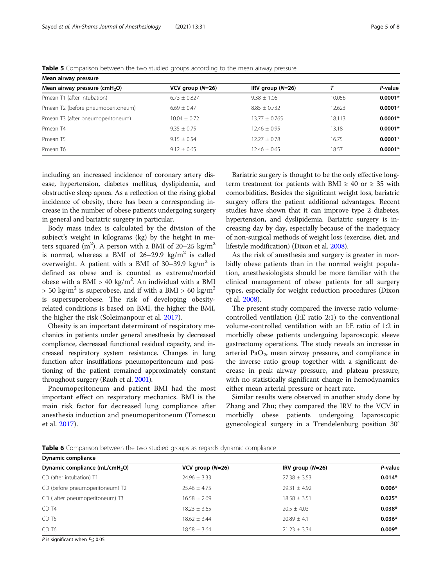| Mean airway pressure               |                  |                   |        |                       |
|------------------------------------|------------------|-------------------|--------|-----------------------|
|                                    |                  |                   |        |                       |
| Pmean T1 (after intubation)        | $6.73 \pm 0.827$ | $9.38 \pm 1.06$   | 10.056 | $0.0001*$             |
| Pmean T2 (before pneumoperitoneum) | $6.69 + 0.47$    | $8.85 \pm 0.732$  | 12.623 | $0.0001$ <sup>*</sup> |
| Pmean T3 (after pneumoperitoneum)  | $10.04 + 0.72$   | $13.77 \pm 0.765$ | 18.113 | $0.0001*$             |
| Pmean T4                           | $9.35 + 0.75$    | $12.46 + 0.95$    | 13.18  | $0.0001$ <sup>+</sup> |

Pmean T5 **0.0001 \*** 9.15 ± 0.54 12.27 ± 0.78 16.75 **0.0001 \*** Pmean T6 **0.0001\*** 9.12 ± 0.65 12.46 ± 0.65 12.46 12.46 12.46 12.46 12.46 to 18.57 **0.0001\*** 

<span id="page-4-0"></span>**Table 5** Comparison between the two studied groups according to the mean airway pressure

including an increased incidence of coronary artery disease, hypertension, diabetes mellitus, dyslipidemia, and obstructive sleep apnea. As a reflection of the rising global incidence of obesity, there has been a corresponding increase in the number of obese patients undergoing surgery in general and bariatric surgery in particular.

Body mass index is calculated by the division of the subject's weight in kilograms (kg) by the height in meters squared (m<sup>2</sup>). A person with a BMI of 20-25 kg/m<sup>2</sup> is normal, whereas a BMI of  $26-29.9$  kg/m<sup>2</sup> is called overweight. A patient with a BMI of 30-39.9 kg/m<sup>2</sup> is defined as obese and is counted as extreme/morbid obese with a  $BMI > 40$  kg/m<sup>2</sup>. An individual with a BMI  $>$  50 kg/m<sup>2</sup> is superobese, and if with a BMI  $>$  60 kg/m<sup>2</sup> is supersuperobese. The risk of developing obesityrelated conditions is based on BMI, the higher the BMI, the higher the risk (Soleimanpour et al. [2017](#page-7-0)).

Obesity is an important determinant of respiratory mechanics in patients under general anesthesia by decreased compliance, decreased functional residual capacity, and increased respiratory system resistance. Changes in lung function after insufflations pneumoperitoneum and positioning of the patient remained approximately constant throughout surgery (Rauh et al. [2001\)](#page-7-0).

Pneumoperitoneum and patient BMI had the most important effect on respiratory mechanics. BMI is the main risk factor for decreased lung compliance after anesthesia induction and pneumoperitoneum (Tomescu et al. [2017\)](#page-7-0).

Bariatric surgery is thought to be the only effective longterm treatment for patients with BMI  $\geq 40$  or  $\geq 35$  with comorbidities. Besides the significant weight loss, bariatric surgery offers the patient additional advantages. Recent studies have shown that it can improve type 2 diabetes, hypertension, and dyslipidemia. Bariatric surgery is increasing day by day, especially because of the inadequacy of non-surgical methods of weight loss (exercise, diet, and lifestyle modification) (Dixon et al. [2008\)](#page-7-0).

As the risk of anesthesia and surgery is greater in morbidly obese patients than in the normal weight population, anesthesiologists should be more familiar with the clinical management of obese patients for all surgery types, especially for weight reduction procedures (Dixon et al. [2008\)](#page-7-0).

The present study compared the inverse ratio volumecontrolled ventilation (I:E ratio 2:1) to the conventional volume-controlled ventilation with an I:E ratio of 1:2 in morbidly obese patients undergoing laparoscopic sleeve gastrectomy operations. The study reveals an increase in arterial  $PaO<sub>2</sub>$ , mean airway pressure, and compliance in the inverse ratio group together with a significant decrease in peak airway pressure, and plateau pressure, with no statistically significant change in hemodynamics either mean arterial pressure or heart rate.

Similar results were observed in another study done by Zhang and Zhu; they compared the IRV to the VCV in morbidly obese patients undergoing laparoscopic gynecological surgery in a Trendelenburg position 30°

Table 6 Comparison between the two studied groups as regards dynamic compliance

| Dynamic compliance                         |                    |                    |          |  |
|--------------------------------------------|--------------------|--------------------|----------|--|
| Dynamic compliance (mL/cmH <sub>2</sub> O) | VCV group $(N=26)$ | IRV group $(N=26)$ | P-value  |  |
| CD (after intubation) T1                   | $24.96 \pm 3.33$   | $27.38 \pm 3.53$   | $0.014*$ |  |
| CD (before pneumoperitoneum) T2            | $25.46 \pm 4.75$   | $29.31 \pm 4.92$   | $0.006*$ |  |
| CD (after pneumoperitoneum) T3             | $16.58 \pm 2.69$   | $18.58 \pm 3.51$   | $0.025*$ |  |
| CD T4                                      | $18.23 + 3.65$     | $20.5 + 4.03$      | $0.038*$ |  |
| CD <sub>T5</sub>                           | $18.62 + 3.44$     | $20.89 + 4.1$      | $0.036*$ |  |
| CD T <sub>6</sub>                          | $18.58 \pm 3.64$   | $21.23 \pm 3.34$   | $0.009*$ |  |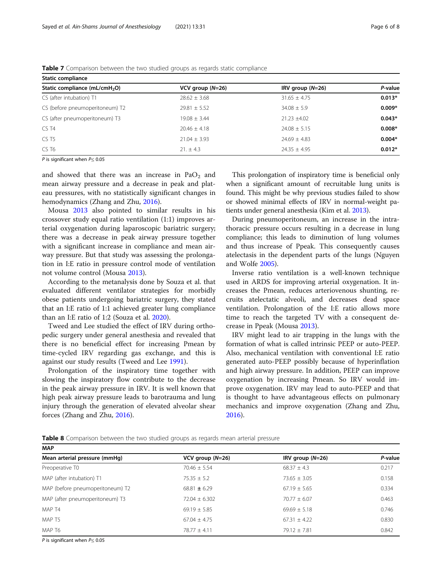| Static compliance                         |                    |                    |          |  |
|-------------------------------------------|--------------------|--------------------|----------|--|
| Static compliance (mL/cmH <sub>2</sub> O) | VCV group $(N=26)$ | IRV group $(N=26)$ | P-value  |  |
| CS (after intubation) T1                  | $28.62 \pm 3.68$   | $31.65 \pm 4.75$   | $0.013*$ |  |
| CS (before pneumoperitoneum) T2           | $29.81 \pm 5.52$   | $34.08 \pm 5.9$    | $0.009*$ |  |
| CS (after pneumoperitoneum) T3            | $19.08 \pm 3.44$   | $21.23 \pm 4.02$   | $0.043*$ |  |
| CS T4                                     | $20.46 + 4.18$     | $24.08 \pm 5.15$   | $0.008*$ |  |
| CS T <sub>5</sub>                         | $21.04 \pm 3.93$   | $74.69 + 4.83$     | $0.004*$ |  |
| CS T <sub>6</sub>                         | $21 + 43$          | $74.35 + 4.95$     | $0.012*$ |  |
|                                           |                    |                    |          |  |

<span id="page-5-0"></span>Table 7 Comparison between the two studied groups as regards static compliance

P is significant when  $P \leq 0.05$ 

and showed that there was an increase in  $PaO<sub>2</sub>$  and mean airway pressure and a decrease in peak and plateau pressures, with no statistically significant changes in hemodynamics (Zhang and Zhu, [2016\)](#page-7-0).

Mousa [2013](#page-7-0) also pointed to similar results in his crossover study equal ratio ventilation (1:1) improves arterial oxygenation during laparoscopic bariatric surgery; there was a decrease in peak airway pressure together with a significant increase in compliance and mean airway pressure. But that study was assessing the prolongation in I:E ratio in pressure control mode of ventilation not volume control (Mousa [2013](#page-7-0)).

According to the metanalysis done by Souza et al. that evaluated different ventilator strategies for morbidly obese patients undergoing bariatric surgery, they stated that an I:E ratio of 1:1 achieved greater lung compliance than an I:E ratio of 1:2 (Souza et al. [2020\)](#page-7-0).

Tweed and Lee studied the effect of IRV during orthopedic surgery under general anesthesia and revealed that there is no beneficial effect for increasing Pmean by time-cycled IRV regarding gas exchange, and this is against our study results (Tweed and Lee [1991\)](#page-7-0).

Prolongation of the inspiratory time together with slowing the inspiratory flow contribute to the decrease in the peak airway pressure in IRV. It is well known that high peak airway pressure leads to barotrauma and lung injury through the generation of elevated alveolar shear forces (Zhang and Zhu, [2016](#page-7-0)).

This prolongation of inspiratory time is beneficial only when a significant amount of recruitable lung units is found. This might be why previous studies failed to show or showed minimal effects of IRV in normal-weight patients under general anesthesia (Kim et al. [2013](#page-7-0)).

During pneumoperitoneum, an increase in the intrathoracic pressure occurs resulting in a decrease in lung compliance; this leads to diminution of lung volumes and thus increase of Ppeak. This consequently causes atelectasis in the dependent parts of the lungs (Nguyen and Wolfe [2005](#page-7-0)).

Inverse ratio ventilation is a well-known technique used in ARDS for improving arterial oxygenation. It increases the Pmean, reduces arteriovenous shunting, recruits atelectatic alveoli, and decreases dead space ventilation. Prolongation of the I:E ratio allows more time to reach the targeted TV with a consequent decrease in Ppeak (Mousa [2013](#page-7-0)).

IRV might lead to air trapping in the lungs with the formation of what is called intrinsic PEEP or auto-PEEP. Also, mechanical ventilation with conventional I:E ratio generated auto-PEEP possibly because of hyperinflation and high airway pressure. In addition, PEEP can improve oxygenation by increasing Pmean. So IRV would improve oxygenation. IRV may lead to auto-PEEP and that is thought to have advantageous effects on pulmonary mechanics and improve oxygenation (Zhang and Zhu, [2016](#page-7-0)).

**Table 8** Comparison between the two studied groups as regards mean arterial pressure

| <b>MAP</b>                       |                    |                    |         |  |
|----------------------------------|--------------------|--------------------|---------|--|
| Mean arterial pressure (mmHg)    | VCV group $(N=26)$ | IRV group $(N=26)$ | P-value |  |
| Preoperative T0                  | $70.46 + 5.54$     | $68.37 \pm 4.3$    | 0.217   |  |
| MAP (after intubation) T1        | $75.35 + 5.2$      | $73.65 + 3.05$     | 0.158   |  |
| MAP (before pneumoperitoneum) T2 | $68.81 \pm 6.29$   | $67.19 + 5.65$     | 0.334   |  |
| MAP (after pneumoperitoneum) T3  | $72.04 + 6.302$    | $70.77 + 6.07$     | 0.463   |  |
| MAP T4                           | $69.19 + 5.85$     | $69.69 + 5.18$     | 0.746   |  |
| MAP T5                           | $67.04 + 4.75$     | $67.31 + 4.22$     | 0.830   |  |
| MAP T6                           | $78.77 + 4.11$     | $79.12 + 7.81$     | 0.842   |  |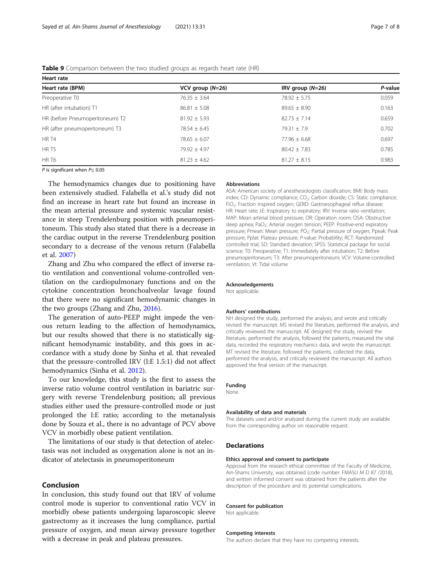| Heart rate                      |                    |                    |         |  |
|---------------------------------|--------------------|--------------------|---------|--|
| Heart rate (BPM)                | VCV group $(N=26)$ | IRV group $(N=26)$ | P-value |  |
| Preoperative T0                 | $76.35 \pm 3.64$   | $78.92 \pm 5.75$   | 0.059   |  |
| HR (after intubation) T1        | $86.81 \pm 5.08$   | $89.65 \pm 8.90$   | 0.163   |  |
| HR (before Pneumoperitoneum) T2 | $81.92 \pm 5.93$   | $82.73 \pm 7.14$   | 0.659   |  |
| HR (after pneumoperitoneum) T3  | $78.54 \pm 6.45$   | $79.31 + 7.9$      | 0.702   |  |
| HR T4                           | $78.65 \pm 6.07$   | $77.96 \pm 6.68$   | 0.697   |  |
| HR T5                           | $79.92 + 4.97$     | $80.42 \pm 7.83$   | 0.785   |  |
| HR T <sub>6</sub>               | $81.23 \pm 4.62$   | $81.27 \pm 8.15$   | 0.983   |  |

<span id="page-6-0"></span>Table 9 Comparison between the two studied groups as regards heart rate (HR)

P is significant when  $P \leq 0.05$ 

The hemodynamics changes due to positioning have been extensively studied. Falabella et al.'s study did not find an increase in heart rate but found an increase in the mean arterial pressure and systemic vascular resistance in steep Trendelenburg position with pneumoperitoneum. This study also stated that there is a decrease in the cardiac output in the reverse Trendelenburg position secondary to a decrease of the venous return (Falabella et al. [2007\)](#page-7-0)

Zhang and Zhu who compared the effect of inverse ratio ventilation and conventional volume-controlled ventilation on the cardiopulmonary functions and on the cytokine concentration bronchoalveolar lavage found that there were no significant hemodynamic changes in the two groups (Zhang and Zhu, [2016\)](#page-7-0).

The generation of auto-PEEP might impede the venous return leading to the affection of hemodynamics, but our results showed that there is no statistically significant hemodynamic instability, and this goes in accordance with a study done by Sinha et al. that revealed that the pressure-controlled IRV (I:E 1.5:1) did not affect hemodynamics (Sinha et al. [2012\)](#page-7-0).

To our knowledge, this study is the first to assess the inverse ratio volume control ventilation in bariatric surgery with reverse Trendelenburg position; all previous studies either used the pressure-controlled mode or just prolonged the I:E ratio; according to the metanalysis done by Souza et al., there is no advantage of PCV above VCV in morbidly obese patient ventilation.

The limitations of our study is that detection of atelectasis was not included as oxygenation alone is not an indicator of atelectasis in pneumoperitoneum

# Conclusion

In conclusion, this study found out that IRV of volume control mode is superior to conventional ratio VCV in morbidly obese patients undergoing laparoscopic sleeve gastrectomy as it increases the lung compliance, partial pressure of oxygen, and mean airway pressure together with a decrease in peak and plateau pressures.

### **Abbreviations**

ASA: American society of anesthesiologists classification; BMI: Body mass index; CD: Dynamic compliance; CO<sub>2</sub>: Carbon dioxide; CS: Static compliance; FiO2: Fraction inspired oxygen; GERD: Gastroesophageal reflux disease; HR: Heart rate; I:E: Inspiratory to expiratory; IRV: Inverse ratio ventilation; MAP: Mean arterial blood pressure; OR: Operation room; OSA: Obstructive sleep apnea; PaO<sub>2</sub>: Arterial oxygen tension; PEEP: Positive-end expiratory pressure; Pmean: Mean pressure; PO<sub>2</sub>: Partial pressure of oxygen; Ppeak: Peak pressure; Pplat: Plateau pressure; P-value: Probability; RCT: Randomized controlled trial; SD: Standard deviation; SPSS: Statistical package for social science; T0: Preoperative; T1: Immediately after intubation; T2: Before pneumoperitoneum; T3: After pneumoperitoneum; VCV: Volume-controlled ventilation; Vt: Tidal volume

### Acknowledgements

Not applicable.

### Authors' contributions

NH designed the study, performed the analysis, and wrote and critically revised the manuscript. MS revised the literature, performed the analysis, and critically reviewed the manuscript. AE designed the study, revised the literature, performed the analysis, followed the patients, measured the vital data, recorded the respiratory mechanics data, and wrote the manuscript. MT revised the literature, followed the patients, collected the data, performed the analysis, and critically reviewed the manuscript. All authors approved the final version of the manuscript.

### Funding

None.

### Availability of data and materials

The datasets used and/or analyzed during the current study are available from the corresponding author on reasonable request.

# Declarations

### Ethics approval and consent to participate

Approval from the research ethical committee of the Faculty of Medicine, Ain-Shams University, was obtained (code number: FMASU M D 87 /2018), and written informed consent was obtained from the patients after the description of the procedure and its potential complications.

### Consent for publication

Not applicable.

### Competing interests

The authors declare that they have no competing interests.